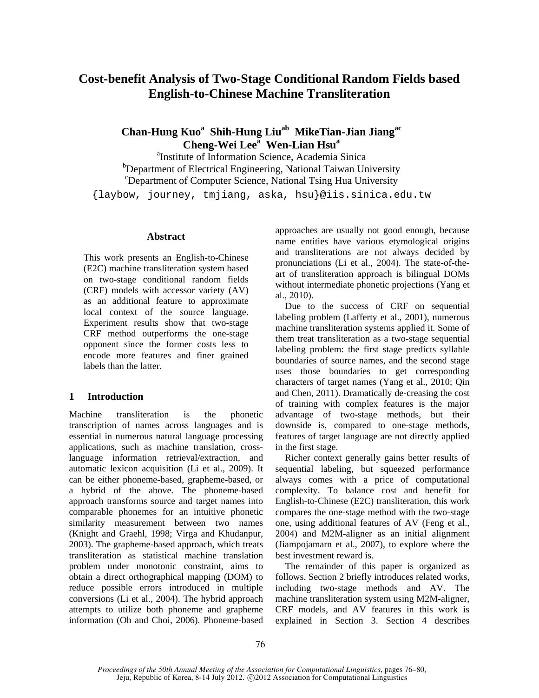# **Cost-benefit Analysis of Two-Stage Conditional Random Fields based English-to-Chinese Machine Transliteration**

# **Chan-Hung Kuo<sup>a</sup> Shih-Hung Liuab MikeTian-Jian Jiangac Cheng-Wei Leea Wen-Lian Hsu<sup>a</sup>**

a Institute of Information Science, Academia Sinica <sup>b</sup>Department of Electrical Engineering, National Taiwan University c Department of Computer Science, National Tsing Hua University {laybow, journey, tmjiang, aska, hsu}@iis.sinica.edu.tw

### **Abstract**

This work presents an English-to-Chinese (E2C) machine transliteration system based on two-stage conditional random fields (CRF) models with accessor variety (AV) as an additional feature to approximate local context of the source language. Experiment results show that two-stage CRF method outperforms the one-stage opponent since the former costs less to encode more features and finer grained labels than the latter.

## **1 Introduction**

Machine transliteration is the phonetic transcription of names across languages and is essential in numerous natural language processing applications, such as machine translation, crosslanguage information retrieval/extraction, and automatic lexicon acquisition (Li et al., 2009). It can be either phoneme-based, grapheme-based, or a hybrid of the above. The phoneme-based approach transforms source and target names into comparable phonemes for an intuitive phonetic similarity measurement between two names (Knight and Graehl, 1998; Virga and Khudanpur, 2003). The grapheme-based approach, which treats transliteration as statistical machine translation problem under monotonic constraint, aims to obtain a direct orthographical mapping (DOM) to reduce possible errors introduced in multiple conversions (Li et al., 2004). The hybrid approach attempts to utilize both phoneme and grapheme information (Oh and Choi, 2006). Phoneme-based approaches are usually not good enough, because name entities have various etymological origins and transliterations are not always decided by pronunciations (Li et al., 2004). The state-of-theart of transliteration approach is bilingual DOMs without intermediate phonetic projections (Yang et al., 2010).

Due to the success of CRF on sequential labeling problem (Lafferty et al., 2001), numerous machine transliteration systems applied it. Some of them treat transliteration as a two-stage sequential labeling problem: the first stage predicts syllable boundaries of source names, and the second stage uses those boundaries to get corresponding characters of target names (Yang et al., 2010; Qin and Chen, 2011). Dramatically de-creasing the cost of training with complex features is the major advantage of two-stage methods, but their downside is, compared to one-stage methods, features of target language are not directly applied in the first stage.

Richer context generally gains better results of sequential labeling, but squeezed performance always comes with a price of computational complexity. To balance cost and benefit for English-to-Chinese (E2C) transliteration, this work compares the one-stage method with the two-stage one, using additional features of AV (Feng et al., 2004) and M2M-aligner as an initial alignment (Jiampojamarn et al., 2007), to explore where the best investment reward is.

The remainder of this paper is organized as follows. Section 2 briefly introduces related works, including two-stage methods and AV. The machine transliteration system using M2M-aligner, CRF models, and AV features in this work is explained in Section 3. Section 4 describes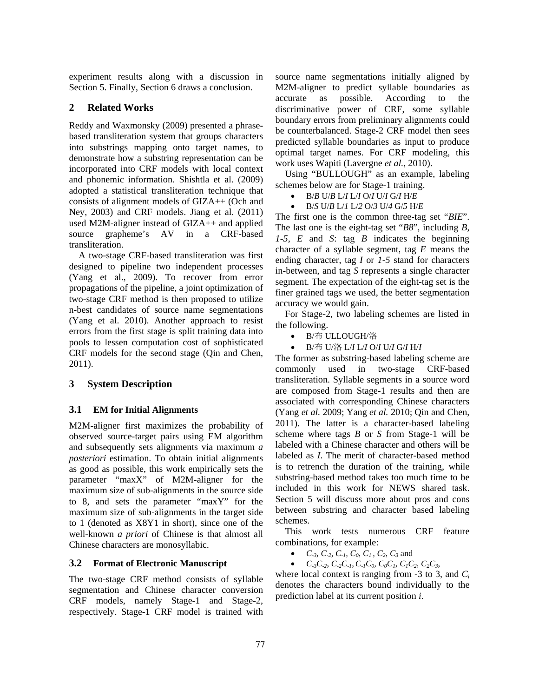experiment results along with a discussion in Section 5. Finally, Section 6 draws a conclusion.

# **2 Related Works**

Reddy and Waxmonsky (2009) presented a phrasebased transliteration system that groups characters into substrings mapping onto target names, to demonstrate how a substring representation can be incorporated into CRF models with local context and phonemic information. Shishtla et al. (2009) adopted a statistical transliteration technique that consists of alignment models of GIZA++ (Och and Ney, 2003) and CRF models. Jiang et al. (2011) used M2M-aligner instead of GIZA++ and applied source grapheme's AV in a CRF-based transliteration.

A two-stage CRF-based transliteration was first designed to pipeline two independent processes (Yang et al., 2009). To recover from error propagations of the pipeline, a joint optimization of two-stage CRF method is then proposed to utilize n-best candidates of source name segmentations (Yang et al. 2010). Another approach to resist errors from the first stage is split training data into pools to lessen computation cost of sophisticated CRF models for the second stage (Qin and Chen, 2011).

## **3 System Description**

## **3.1 EM for Initial Alignments**

M2M-aligner first maximizes the probability of observed source-target pairs using EM algorithm and subsequently sets alignments via maximum *a posteriori* estimation. To obtain initial alignments as good as possible, this work empirically sets the parameter "maxX" of M2M-aligner for the maximum size of sub-alignments in the source side to 8, and sets the parameter "maxY" for the maximum size of sub-alignments in the target side to 1 (denoted as X8Y1 in short), since one of the well-known *a priori* of Chinese is that almost all Chinese characters are monosyllabic.

## **3.2 Format of Electronic Manuscript**

The two-stage CRF method consists of syllable segmentation and Chinese character conversion CRF models, namely Stage-1 and Stage-2, respectively. Stage-1 CRF model is trained with

source name segmentations initially aligned by M2M-aligner to predict syllable boundaries as accurate as possible. According to the discriminative power of CRF, some syllable boundary errors from preliminary alignments could be counterbalanced. Stage-2 CRF model then sees predicted syllable boundaries as input to produce optimal target names. For CRF modeling, this work uses Wapiti (Lavergne *et al.*, 2010).

Using "BULLOUGH" as an example, labeling schemes below are for Stage-1 training.

- $\bullet$  B/*B* U/*B* L/*I* L/*I* O/*I* U/*I* G/*I* H/*E*
- B/*S* U/*B* L/*1* L/*2* O/*3* U/*4* G/*5* H/*E*

The first one is the common three-tag set "*BIE*". The last one is the eight-tag set "*B8*", including *B*, *1-5*, *E* and *S*: tag *B* indicates the beginning character of a syllable segment, tag *E* means the ending character, tag *I* or *1-5* stand for characters in-between, and tag *S* represents a single character segment. The expectation of the eight-tag set is the finer grained tags we used, the better segmentation accuracy we would gain.

For Stage-2, two labeling schemes are listed in the following.

- B/布 ULLOUGH/洛
- B/布 U/洛 L/*I* L/*I* O/*I* U/*I* G/*I* H/*I*

The former as substring-based labeling scheme are commonly used in two-stage CRF-based transliteration. Syllable segments in a source word are composed from Stage-1 results and then are associated with corresponding Chinese characters (Yang *et al.* 2009; Yang *et al.* 2010; Qin and Chen, 2011). The latter is a character-based labeling scheme where tags *B* or *S* from Stage-1 will be labeled with a Chinese character and others will be labeled as *I*. The merit of character-based method is to retrench the duration of the training, while substring-based method takes too much time to be included in this work for NEWS shared task. Section 5 will discuss more about pros and cons between substring and character based labeling schemes.

This work tests numerous CRF feature combinations, for example:

- *C<sub>-3</sub>, C<sub>-2</sub>, C<sub>-1</sub>, C<sub>0</sub>, C<sub>1</sub>, C<sub>2</sub>, C<sub>3</sub> and*
- $C_{-3}C_{-2}$ ,  $C_{-2}C_{-1}$ ,  $C_{-1}C_{0}$ ,  $C_{0}C_{1}$ ,  $C_{1}C_{2}$ ,  $C_{2}C_{3}$ ,

where local context is ranging from -3 to 3, and *Ci*  denotes the characters bound individually to the prediction label at its current position *i*.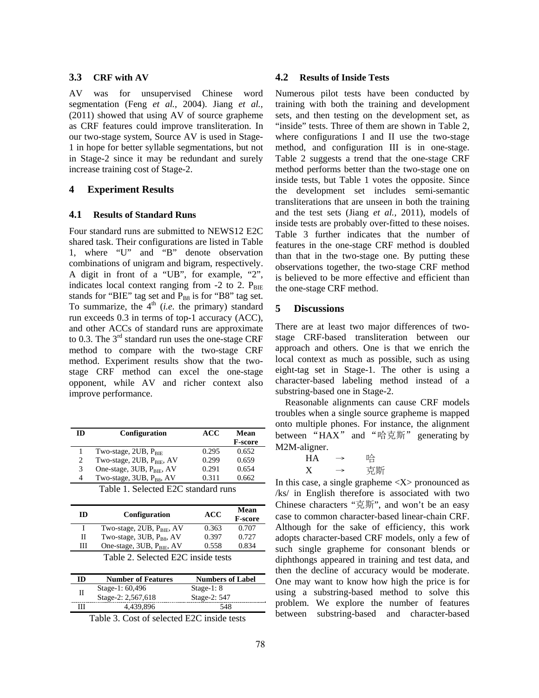# **3.3 CRF with AV**

AV was for unsupervised Chinese word segmentation (Feng *et al.*, 2004). Jiang *et al.,*  (2011) showed that using AV of source grapheme as CRF features could improve transliteration. In our two-stage system, Source AV is used in Stage-1 in hope for better syllable segmentations, but not in Stage-2 since it may be redundant and surely increase training cost of Stage-2.

### **4 Experiment Results**

#### **4.1 Results of Standard Runs**

Four standard runs are submitted to NEWS12 E2C shared task. Their configurations are listed in Table 1, where "U" and "B" denote observation combinations of unigram and bigram, respectively. A digit in front of a "UB", for example, "2", indicates local context ranging from  $-2$  to 2.  $P_{BIE}$ stands for "BIE" tag set and  $P_{B8}$  is for "B8" tag set. To summarize, the  $4<sup>th</sup>$  (*i.e.* the primary) standard run exceeds 0.3 in terms of top-1 accuracy (ACC), and other ACCs of standard runs are approximate to 0.3. The  $3<sup>rd</sup>$  standard run uses the one-stage CRF method to compare with the two-stage CRF method. Experiment results show that the twostage CRF method can excel the one-stage opponent, while AV and richer context also improve performance.

| m                                   | Configuration                     | ACC   | Mean           |
|-------------------------------------|-----------------------------------|-------|----------------|
|                                     |                                   |       | <b>F-score</b> |
|                                     | Two-stage, $2UB$ , $P_{BIE}$      | 0.295 | 0.652          |
| 2                                   | Two-stage, $2UB$ , $P_{BIE}$ , AV | 0.299 | 0.659          |
| 3                                   | One-stage, $3UB$ , $P_{BIE}$ , AV | 0.291 | 0.654          |
| 4                                   | Two-stage, $3UB$ , $P_{BS}$ , AV  | 0.311 | 0.662          |
| Table 1. Selected E2C standard runs |                                   |       |                |

| ID                                 | Configuration                         | <b>ACC</b> | Mean<br><b>F-score</b> |
|------------------------------------|---------------------------------------|------------|------------------------|
|                                    | Two-stage, $2UB$ , $P_{BIE}$ , AV     | 0.363      | 0.707                  |
| Π                                  | Two-stage, $3UB$ , $P_{BS}$ , AV      | 0.397      | 0.727                  |
| Ш                                  | One-stage, 3UB, P <sub>BIE</sub> , AV | 0.558      | 0.834                  |
| Table 2. Selected E2C inside tests |                                       |            |                        |

| ID | <b>Number of Features</b> | <b>Numbers of Label</b> |
|----|---------------------------|-------------------------|
|    | Stage-1: 60,496           | Stage-1: $8$            |
|    | Stage-2: 2,567,618        | Stage-2: 547            |
| Ш  | 4.439.896                 | 548                     |

Table 3. Cost of selected E2C inside tests

### **4.2 Results of Inside Tests**

Numerous pilot tests have been conducted by training with both the training and development sets, and then testing on the development set, as "inside" tests. Three of them are shown in Table 2, where configurations I and II use the two-stage method, and configuration III is in one-stage. Table 2 suggests a trend that the one-stage CRF method performs better than the two-stage one on inside tests, but Table 1 votes the opposite. Since the development set includes semi-semantic transliterations that are unseen in both the training and the test sets (Jiang *et al.,* 2011), models of inside tests are probably over-fitted to these noises. Table 3 further indicates that the number of features in the one-stage CRF method is doubled than that in the two-stage one. By putting these observations together, the two-stage CRF method is believed to be more effective and efficient than the one-stage CRF method.

#### **5 Discussions**

There are at least two major differences of twostage CRF-based transliteration between our approach and others. One is that we enrich the local context as much as possible, such as using eight-tag set in Stage-1. The other is using a character-based labeling method instead of a substring-based one in Stage-2.

Reasonable alignments can cause CRF models troubles when a single source grapheme is mapped onto multiple phones. For instance, the alignment between "HAX" and "哈克斯" generating by M2M-aligner.

| <b>HA</b> | 哈  |
|-----------|----|
| v         | 克斯 |

In this case, a single grapheme  $\langle X \rangle$  pronounced as /ks/ in English therefore is associated with two Chinese characters "克斯", and won't be an easy case to common character-based linear-chain CRF. Although for the sake of efficiency, this work adopts character-based CRF models, only a few of such single grapheme for consonant blends or diphthongs appeared in training and test data, and then the decline of accuracy would be moderate. One may want to know how high the price is for using a substring-based method to solve this problem. We explore the number of features between substring-based and character-based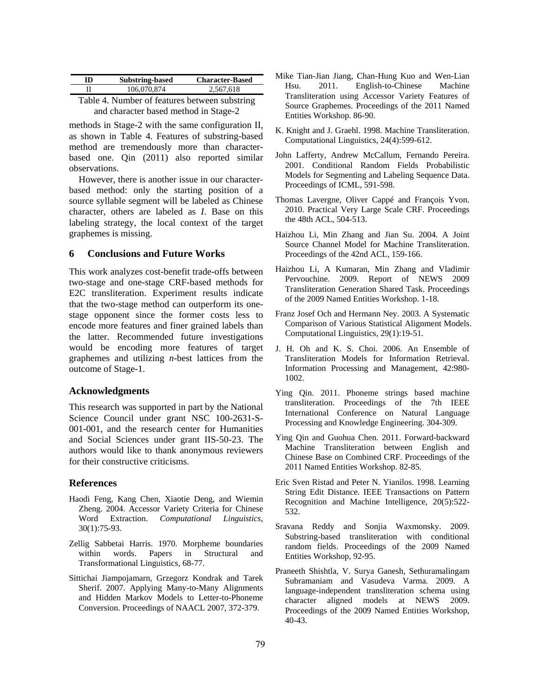| ID | <b>Substring-based</b>                        | <b>Character-Based</b> |
|----|-----------------------------------------------|------------------------|
|    | 106,070,874                                   | 2.567.618              |
|    | Table 1. Mumban of features between substains |                        |

Table 4. Number of features between substring and character based method in Stage-2

methods in Stage-2 with the same configuration II, as shown in Table 4. Features of substring-based method are tremendously more than characterbased one. Qin (2011) also reported similar observations.

However, there is another issue in our characterbased method: only the starting position of a source syllable segment will be labeled as Chinese character, others are labeled as *I*. Base on this labeling strategy, the local context of the target graphemes is missing.

### **6 Conclusions and Future Works**

This work analyzes cost-benefit trade-offs between two-stage and one-stage CRF-based methods for E2C transliteration. Experiment results indicate that the two-stage method can outperform its onestage opponent since the former costs less to encode more features and finer grained labels than the latter. Recommended future investigations would be encoding more features of target graphemes and utilizing *n*-best lattices from the outcome of Stage-1.

#### **Acknowledgments**

This research was supported in part by the National Science Council under grant NSC 100-2631-S-001-001, and the research center for Humanities and Social Sciences under grant IIS-50-23. The authors would like to thank anonymous reviewers for their constructive criticisms.

#### **References**

- Haodi Feng, Kang Chen, Xiaotie Deng, and Wiemin Zheng. 2004. Accessor Variety Criteria for Chinese Word Extraction. *Computational Linguistics*, 30(1):75-93.
- Zellig Sabbetai Harris. 1970. Morpheme boundaries within words. Papers in Structural and Transformational Linguistics, 68-77.
- Sittichai Jiampojamarn, Grzegorz Kondrak and Tarek Sherif. 2007. Applying Many-to-Many Alignments and Hidden Markov Models to Letter-to-Phoneme Conversion. Proceedings of NAACL 2007, 372-379.
- Mike Tian-Jian Jiang, Chan-Hung Kuo and Wen-Lian Hsu. 2011. English-to-Chinese Machine Transliteration using Accessor Variety Features of Source Graphemes. Proceedings of the 2011 Named Entities Workshop. 86-90.
- K. Knight and J. Graehl. 1998. Machine Transliteration. Computational Linguistics, 24(4):599-612.
- John Lafferty, Andrew McCallum, Fernando Pereira. 2001. Conditional Random Fields Probabilistic Models for Segmenting and Labeling Sequence Data. Proceedings of ICML, 591-598.
- Thomas Lavergne, Oliver Cappé and François Yvon. 2010. Practical Very Large Scale CRF. Proceedings the 48th ACL, 504-513.
- Haizhou Li, Min Zhang and Jian Su. 2004. A Joint Source Channel Model for Machine Transliteration. Proceedings of the 42nd ACL, 159-166.
- Haizhou Li, A Kumaran, Min Zhang and Vladimir Pervouchine. 2009. Report of NEWS 2009 Transliteration Generation Shared Task. Proceedings of the 2009 Named Entities Workshop. 1-18.
- Franz Josef Och and Hermann Ney. 2003. A Systematic Comparison of Various Statistical Alignment Models. Computational Linguistics, 29(1):19-51.
- J. H. Oh and K. S. Choi. 2006. An Ensemble of Transliteration Models for Information Retrieval. Information Processing and Management, 42:980- 1002.
- Ying Qin. 2011. Phoneme strings based machine transliteration. Proceedings of the 7th IEEE International Conference on Natural Language Processing and Knowledge Engineering. 304-309.
- Ying Qin and Guohua Chen. 2011. Forward-backward Machine Transliteration between English and Chinese Base on Combined CRF. Proceedings of the 2011 Named Entities Workshop. 82-85.
- Eric Sven Ristad and Peter N. Yianilos. 1998. Learning String Edit Distance. IEEE Transactions on Pattern Recognition and Machine Intelligence, 20(5):522- 532.
- Sravana Reddy and Sonjia Waxmonsky. 2009. Substring-based transliteration with conditional random fields. Proceedings of the 2009 Named Entities Workshop, 92-95.
- Praneeth Shishtla, V. Surya Ganesh, Sethuramalingam Subramaniam and Vasudeva Varma. 2009. A language-independent transliteration schema using character aligned models at NEWS 2009. Proceedings of the 2009 Named Entities Workshop, 40-43.